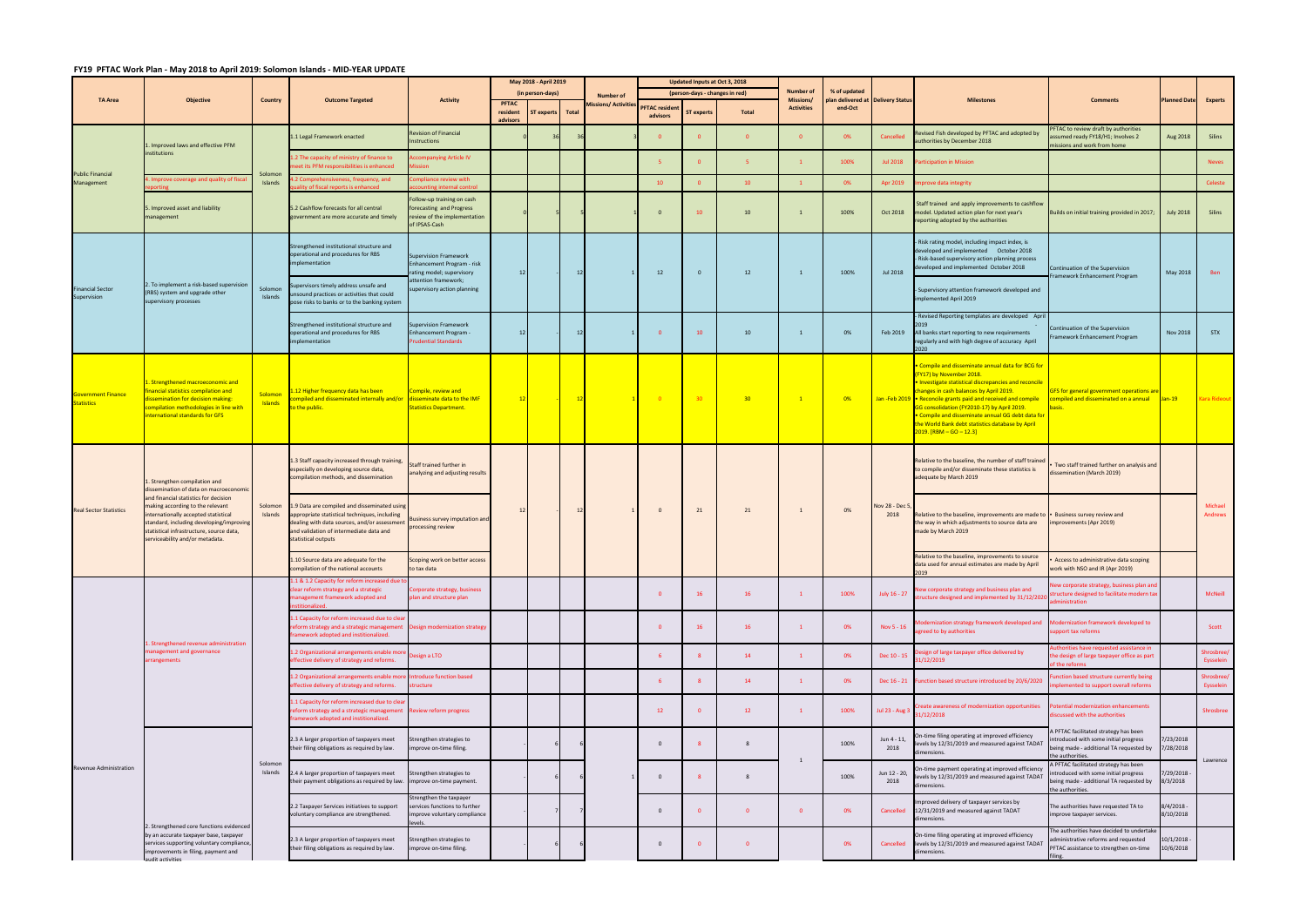## **FY19 PFTAC Work Plan ‐ May 2018 to April 2019: Solomon Islands ‐ MID‐YEAR UPDATE**

|                                                | <b>Objective</b>                                                                                                                                                                                                                                                                                                    | Country                   | <b>Outcome Targeted</b>                                                                                                                                                                                         | <b>Activity</b>                                                                                         | May 2018 - April 2019 |                  |    |                                    | Updated Inputs at Oct 3, 2018 |                                |                 |                                       |                                             |                        |                                                                                                                                                                                                                                                                                                                                                                                                                                                  |                                                                                                                                              |                             |                         |
|------------------------------------------------|---------------------------------------------------------------------------------------------------------------------------------------------------------------------------------------------------------------------------------------------------------------------------------------------------------------------|---------------------------|-----------------------------------------------------------------------------------------------------------------------------------------------------------------------------------------------------------------|---------------------------------------------------------------------------------------------------------|-----------------------|------------------|----|------------------------------------|-------------------------------|--------------------------------|-----------------|---------------------------------------|---------------------------------------------|------------------------|--------------------------------------------------------------------------------------------------------------------------------------------------------------------------------------------------------------------------------------------------------------------------------------------------------------------------------------------------------------------------------------------------------------------------------------------------|----------------------------------------------------------------------------------------------------------------------------------------------|-----------------------------|-------------------------|
| <b>TA Area</b>                                 |                                                                                                                                                                                                                                                                                                                     |                           |                                                                                                                                                                                                                 |                                                                                                         | (in person-days)      |                  |    | <b>Number of</b>                   |                               | (person-days - changes in red) |                 | <b>Number of</b>                      | % of updated                                |                        |                                                                                                                                                                                                                                                                                                                                                                                                                                                  |                                                                                                                                              |                             |                         |
|                                                |                                                                                                                                                                                                                                                                                                                     |                           |                                                                                                                                                                                                                 |                                                                                                         | <b>PFTAC</b>          |                  |    | Missions/ Activities PFTAC residen |                               |                                |                 | <b>Missions/</b><br><b>Activities</b> | Ian delivered at Delivery Statu:<br>end-Oct |                        | <b>Milestones</b>                                                                                                                                                                                                                                                                                                                                                                                                                                | <b>Comments</b>                                                                                                                              | <b>Planned Date Experts</b> |                         |
|                                                |                                                                                                                                                                                                                                                                                                                     |                           |                                                                                                                                                                                                                 |                                                                                                         | resident<br>advisors  | ST experts Total |    |                                    | advisors                      | <b>ST experts</b>              | <b>Total</b>    |                                       |                                             |                        |                                                                                                                                                                                                                                                                                                                                                                                                                                                  |                                                                                                                                              |                             |                         |
| <b>Public Financial</b><br>Management          | Improved laws and effective PFM                                                                                                                                                                                                                                                                                     |                           | 1.1 Legal Framework enacted                                                                                                                                                                                     | <b>Revision of Financial</b><br>Instructions                                                            |                       |                  |    |                                    |                               | $\mathbf{0}$                   | $\overline{0}$  | $\mathbf{0}$                          | 0%                                          | Cancelled              | Revised Fish developed by PFTAC and adopted by<br>authorities by December 2018                                                                                                                                                                                                                                                                                                                                                                   | FTAC to review draft by authorities<br>ssumed ready FY18/H1; Involves 2<br>issions and work from home                                        | Aug 2018                    | Silins                  |
|                                                | nstitutions                                                                                                                                                                                                                                                                                                         | Solomon                   | 1.2 The capacity of ministry of finance to<br>eet its PFM responsibilities is enhanced                                                                                                                          | ccompanying Article IV                                                                                  |                       |                  |    |                                    |                               | $\mathbf{0}$                   |                 |                                       | 100%                                        | <b>Jul 2018</b>        | articipation in Mission                                                                                                                                                                                                                                                                                                                                                                                                                          |                                                                                                                                              |                             | <b>Neves</b>            |
|                                                | Improve coverage and quality of fisca                                                                                                                                                                                                                                                                               | Islands                   | 2 Comprehensiveness, frequency, and<br>lity of fiscal reports is enhanced                                                                                                                                       | mpliance review with<br>ounting internal contro                                                         |                       |                  |    |                                    | 10                            | $\Omega$                       | 10 <sup>°</sup> |                                       | 0%                                          | Apr 2019               | prove data integrity                                                                                                                                                                                                                                                                                                                                                                                                                             |                                                                                                                                              |                             | Celeste                 |
|                                                | Improved asset and liability<br>management                                                                                                                                                                                                                                                                          |                           | 5.2 Cashflow forecasts for all central<br>government are more accurate and timely                                                                                                                               | Follow-up training on cash<br>forecasting and Progress<br>review of the implementation<br>of IPSAS-Cash |                       |                  |    |                                    | $\Omega$                      | 10                             | 10              |                                       | 100%                                        | Oct 2018               | Staff trained and apply improvements to cashflow<br>model. Updated action plan for next year's<br>reporting adopted by the authorities                                                                                                                                                                                                                                                                                                           | Builds on initial training provided in 2017;                                                                                                 | <b>July 2018</b>            | Silins                  |
| <b>Financial Sector</b><br>Supervision         | . To implement a risk-based supervisior<br>(RBS) system and upgrade other<br>supervisory processes                                                                                                                                                                                                                  |                           | Strengthened institutional structure and<br>operational and procedures for RBS<br>implementation                                                                                                                | Supervision Framework<br>Enhancement Program - risk<br>ating model; supervisory                         | $12 \overline{ }$     |                  |    |                                    | 12                            | $\mathbf{0}$                   | 12              | $\mathbf{1}$                          | 100%                                        | Jul 2018               | - Risk rating model, including impact index, is<br>developed and implemented  October 2018<br>- Risk-based supervisory action planning process<br>leveloped and implemented October 2018                                                                                                                                                                                                                                                         | Continuation of the Supervision<br>Framework Enhancement Program                                                                             | May 2018                    | Ben                     |
|                                                |                                                                                                                                                                                                                                                                                                                     | Solomon<br>Islands        | upervisors timely address unsafe and<br>unsound practices or activities that could<br>pose risks to banks or to the banking system                                                                              | attention framework;<br>upervisory action planning                                                      |                       |                  |    |                                    |                               |                                |                 |                                       |                                             |                        | Supervisory attention framework developed and<br>implemented April 2019                                                                                                                                                                                                                                                                                                                                                                          |                                                                                                                                              |                             |                         |
|                                                |                                                                                                                                                                                                                                                                                                                     |                           |                                                                                                                                                                                                                 |                                                                                                         |                       |                  |    |                                    |                               |                                |                 |                                       |                                             |                        | Revised Reporting templates are developed Apri                                                                                                                                                                                                                                                                                                                                                                                                   |                                                                                                                                              |                             |                         |
|                                                |                                                                                                                                                                                                                                                                                                                     |                           | Strengthened institutional structure and<br>operational and procedures for RBS<br>implementation                                                                                                                | Supervision Framework<br><b>Enhancement Program -</b><br><b>Prudential Standards</b>                    | 12                    |                  |    |                                    |                               | 10                             | 10              | 1                                     | 0%                                          | Feb 2019               | All banks start reporting to new requirements<br>regularly and with high degree of accuracy April<br>2020                                                                                                                                                                                                                                                                                                                                        | Continuation of the Supervision<br>ramework Enhancement Program                                                                              | <b>Nov 2018</b>             | <b>STX</b>              |
| <b>Government Finance</b><br><b>Statistics</b> | . Strengthened macroeconomic and<br>inancial statistics compilation and<br>lissemination for decision making:<br>ompilation methodologies in line with<br>nternational standards for GFS                                                                                                                            | Solomon<br><b>Islands</b> | 12 Higher frequency data has been<br>mpiled and disseminated internally and/or disseminate data to the IMF<br>o the public.                                                                                     | Compile, review and<br>Statistics Department.                                                           |                       |                  | 12 |                                    | $\overline{\phantom{0}}$ 0    | 30 <sub>2</sub>                | 30 <sub>o</sub> | $\mathbf{1}$                          | 0%                                          |                        | Compile and disseminate annual data for BCG for<br>FY17) by November 2018.<br><b>Investigate statistical discrepancies and reconcile</b><br>hanges in cash balances by April 2019.<br>Jan-Feb 2019 • Reconcile grants paid and received and compile<br>GG consolidation (FY2010-17) by April 2019.<br>Compile and disseminate annual GG debt data for<br>he World Bank debt statistics database by April<br><mark>2019. [RBM – GO – 12.3]</mark> | <u>GFS for general government operations are</u><br>compiled and disseminated on a annual Jan-19<br>basis.                                   |                             | <b>Kara Rideout</b>     |
| <b>Real Sector Statistics</b>                  | Strengthen compilation and<br>dissemination of data on macroeconomic<br>and financial statistics for decision<br>making according to the relevant<br>nternationally accepted statistical<br>standard, including developing/improving<br>statistical infrastructure, source data,<br>serviceability and/or metadata. | Solomon<br>Islands        | 1.3 Staff capacity increased through training,<br>especially on developing source data,<br>compilation methods, and dissemination                                                                               | Staff trained further in<br>analyzing and adjusting results                                             |                       |                  |    |                                    | $\mathbf{0}$                  | 21                             | 21              | 1                                     |                                             |                        | Relative to the baseline, the number of staff trained<br>to compile and/or disseminate these statistics is<br>adequate by March 2019                                                                                                                                                                                                                                                                                                             | Two staff trained further on analysis and<br>dissemination (March 2019)                                                                      |                             |                         |
|                                                |                                                                                                                                                                                                                                                                                                                     |                           | 1.9 Data are compiled and disseminated using<br>appropriate statistical techniques, including<br>dealing with data sources, and/or assessment<br>and validation of intermediate data and<br>statistical outputs | <b>Business survey imputation and</b><br>processing review                                              |                       |                  |    |                                    |                               |                                |                 |                                       | 0%                                          | Nov 28 - Dec 5<br>2018 | Relative to the baseline, improvements are made to <b>Business survey review and</b><br>the way in which adjustments to source data are<br>made by March 2019                                                                                                                                                                                                                                                                                    | improvements (Apr 2019)                                                                                                                      |                             | Michael<br>Andrews      |
|                                                |                                                                                                                                                                                                                                                                                                                     |                           | 1.10 Source data are adequate for the<br>mpilation of the national accounts                                                                                                                                     | Scoping work on better access<br>to tax data                                                            |                       |                  |    |                                    |                               |                                |                 |                                       |                                             |                        | Relative to the baseline, improvements to source<br>data used for annual estimates are made by April<br>019                                                                                                                                                                                                                                                                                                                                      | Access to administrative data scoping<br>work with NSO and IR (Apr 2019)                                                                     |                             |                         |
|                                                | Strengthened revenue administration<br>nanagement and governance<br><b>Irrangements</b>                                                                                                                                                                                                                             |                           | 1.1 & 1.2 Capacity for reform increased due t<br>clear reform strategy and a strategic<br>management framework adopted and<br>stitionalized.                                                                    | orporate strategy, business<br>lan and structure plan                                                   |                       |                  |    |                                    | $\Omega$                      | 16                             | 16              | $\mathbf{1}$                          | 100%                                        | July 16 - 27           | Vew corporate strategy and business plan and<br>tructure designed and implemented by 31/12/202                                                                                                                                                                                                                                                                                                                                                   | ew corporate strategy, business plan and<br>ructure designed to facilitate modern tax<br>ministration                                        |                             | McNeill                 |
|                                                |                                                                                                                                                                                                                                                                                                                     |                           | 1.1 Capacity for reform increased due to clear<br>reform strategy and a strategic management<br>framework adopted and institionalized.                                                                          | Design modernization strategy                                                                           |                       |                  |    |                                    | $\Omega$                      | 16                             | 16              | 1                                     | 0%                                          | Nov 5 - 16             | odernization strategy framework developed and<br>greed to by authorities                                                                                                                                                                                                                                                                                                                                                                         | odernization framework developed to<br>upport tax reforms                                                                                    |                             | Scott                   |
|                                                |                                                                                                                                                                                                                                                                                                                     |                           | 1.2 Organizational arrangements enable mo<br>effective delivery of strategy and reforms.                                                                                                                        | esign a LTO                                                                                             |                       |                  |    |                                    |                               |                                | 14              | 1                                     | 0%                                          | Dec 10 - 15            | sign of large taxpayer office delivered by<br>1/12/2019                                                                                                                                                                                                                                                                                                                                                                                          | thorities have requested assistance in<br>he design of large taxpayer office as part<br>f the reforms                                        |                             | Shrosbree/<br>Eysselein |
|                                                |                                                                                                                                                                                                                                                                                                                     |                           | 1.2 Organizational arrangements enable mor<br>effective delivery of strategy and reforms.                                                                                                                       | ntroduce function based<br>structure                                                                    |                       |                  |    |                                    |                               |                                | 14              | $\mathbf{1}$                          | 0%                                          | Dec 16 - 21            | unction based structure introduced by 20/6/2020                                                                                                                                                                                                                                                                                                                                                                                                  | inction based structure currently being<br>plemented to support overall reforms                                                              |                             | Shrosbree/<br>Eysselein |
|                                                |                                                                                                                                                                                                                                                                                                                     |                           | 1.1 Capacity for reform increased due to clea<br>reform strategy and a strategic management Review reform progress<br>framework adopted and institionalized.                                                    |                                                                                                         |                       |                  |    |                                    | 12                            | $\Omega$                       | 12              | $\mathbf{1}$                          | 100%                                        | Jul 23 - Aug 3         | reate awareness of modernization opportunities<br>1/12/2018                                                                                                                                                                                                                                                                                                                                                                                      | tential modernization enhancements<br>iscussed with the authorities                                                                          |                             | Shrosbree               |
| Revenue Administration                         | . Strengthened core functions evidenced<br>by an accurate taxpayer base, taxpayer<br>services supporting voluntary compliance,<br>improvements in filing, payment and<br>audit activities                                                                                                                           | Solomon<br>Islands        | 2.3 A larger proportion of taxpayers meet<br>their filing obligations as required by law.                                                                                                                       | Strengthen strategies to<br>improve on-time filing.                                                     |                       |                  |    |                                    | $\mathbf{0}$                  |                                | 8               |                                       | 100%                                        | Jun 4 - 11,<br>2018    | In-time filing operating at improved efficiency<br>levels by 12/31/2019 and measured against TADAT<br>dimensions.                                                                                                                                                                                                                                                                                                                                | A PFTAC facilitated strategy has been<br>ntroduced with some initial progress<br>being made - additional TA requested by<br>the authorities. | /23/2018<br>7/28/2018       |                         |
|                                                |                                                                                                                                                                                                                                                                                                                     |                           | .4 A larger proportion of taxpayers meet<br>their payment obligations as required by law.                                                                                                                       | Strengthen strategies to<br>improve on-time payment.                                                    |                       |                  |    |                                    | $\mathbf{0}$                  |                                | 8               | 1                                     | 100%                                        | Jun 12 - 20,<br>2018   | )n-time payment operating at improved efficiencγ<br>levels by 12/31/2019 and measured against TADAT<br>dimensions.                                                                                                                                                                                                                                                                                                                               | A PFTAC facilitated strategy has been<br>troduced with some initial progress<br>being made - additional TA requested by<br>the authorities.  | /29/2018 -<br>8/3/2018      | Lawrence                |
|                                                |                                                                                                                                                                                                                                                                                                                     |                           | 2.2 Taxpayer Services initiatives to support<br>voluntary compliance are strengthened.                                                                                                                          | Strengthen the taxpayer<br>services functions to further<br>improve voluntary compliance<br>vels        |                       |                  |    |                                    | $\mathbf 0$                   |                                | $\mathbf{0}$    | $\mathbf{0}$                          | 0%                                          | Cancelled              | mproved delivery of taxpayer services by<br>12/31/2019 and measured against TADAT<br>dimensions.                                                                                                                                                                                                                                                                                                                                                 | The authorities have requested TA to<br>improve taxpayer services.                                                                           | /4/2018 -<br>8/10/2018      |                         |
|                                                |                                                                                                                                                                                                                                                                                                                     |                           | 2.3 A larger proportion of taxpayers meet<br>their filing obligations as required by law.                                                                                                                       | Strengthen strategies to<br>improve on-time filing.                                                     |                       |                  |    |                                    | $\mathbf{0}$                  |                                | $\mathbf{0}$    |                                       | 0%                                          | Cancelled              | On-time filing operating at improved efficiency<br>levels by 12/31/2019 and measured against TADA1<br>dimensions.                                                                                                                                                                                                                                                                                                                                | The authorities have decided to undertake<br>dministrative reforms and requested<br>PFTAC assistance to strengthen on-time                   | $0/1/2018 -$<br>0/6/2018    |                         |